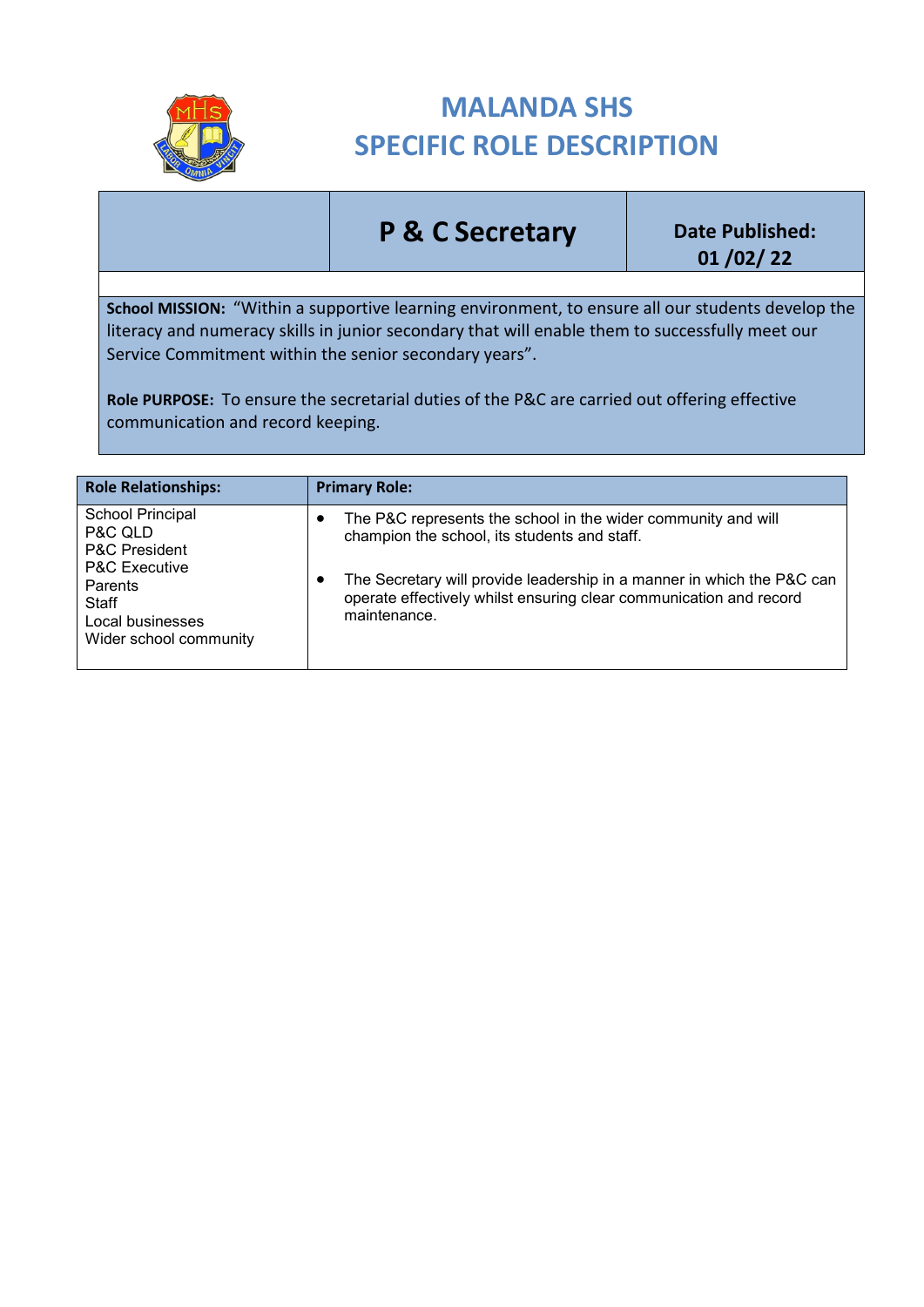

## **MALANDA SHS SPECIFIC ROLE DESCRIPTION**

## **P & C Secretary Date Published:**

**01 /02/ 22**

**School MISSION:** "Within a supportive learning environment, to ensure all our students develop the literacy and numeracy skills in junior secondary that will enable them to successfully meet our Service Commitment within the senior secondary years".

**Role PURPOSE:** To ensure the secretarial duties of the P&C are carried out offering effective communication and record keeping.

| <b>Role Relationships:</b>                                                                                                                                   | <b>Primary Role:</b>                                                                                                                                                                                                                                                               |
|--------------------------------------------------------------------------------------------------------------------------------------------------------------|------------------------------------------------------------------------------------------------------------------------------------------------------------------------------------------------------------------------------------------------------------------------------------|
| School Principal<br>P&C QLD<br><b>P&amp;C President</b><br><b>P&amp;C Executive</b><br>Parents<br><b>Staff</b><br>Local businesses<br>Wider school community | The P&C represents the school in the wider community and will<br>٠<br>champion the school, its students and staff.<br>The Secretary will provide leadership in a manner in which the P&C can<br>operate effectively whilst ensuring clear communication and record<br>maintenance. |